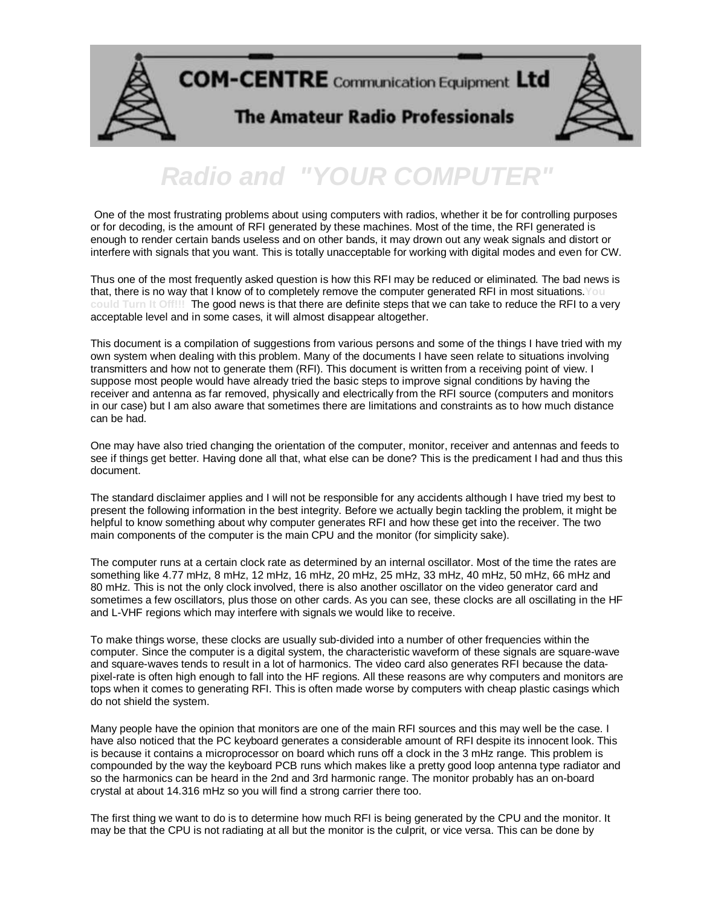

## **Radio and "YOUR COMPUTE**

One of the most frustrating problems about using computers with radios, whether it be for controlling purposes or for decoding, is the amount of RFI generated by these machines. Most of the time, the RFI generated is enough to render certain bands useless and on other bands, it may drown out any weak signals and distort or interfere with signals that you want. This is totally unacceptable for working with digital modes and even for CW.

Thus one of the most frequently asked question is how this RFI may be reduced or eliminated. The bad news is that, there is no way that I know of to completely remove the computer generated RFI in most situations.**You could Turn It Off!!!** The good news is that there are definite steps that we can take to reduce the RFI to a very acceptable level and in some cases, it will almost disappear altogether.

This document is a compilation of suggestions from various persons and some of the things I have tried with my own system when dealing with this problem. Many of the documents I have seen relate to situations involving transmitters and how not to generate them (RFI). This document is written from a receiving point of view. I suppose most people would have already tried the basic steps to improve signal conditions by having the receiver and antenna as far removed, physically and electrically from the RFI source (computers and monitors in our case) but I am also aware that sometimes there are limitations and constraints as to how much distance can be had.

One may have also tried changing the orientation of the computer, monitor, receiver and antennas and feeds to see if things get better. Having done all that, what else can be done? This is the predicament I had and thus this document.

The standard disclaimer applies and I will not be responsible for any accidents although I have tried my best to present the following information in the best integrity. Before we actually begin tackling the problem, it might be helpful to know something about why computer generates RFI and how these get into the receiver. The two main components of the computer is the main CPU and the monitor (for simplicity sake).

The computer runs at a certain clock rate as determined by an internal oscillator. Most of the time the rates are something like 4.77 mHz, 8 mHz, 12 mHz, 16 mHz, 20 mHz, 25 mHz, 33 mHz, 40 mHz, 50 mHz, 66 mHz and 80 mHz. This is not the only clock involved, there is also another oscillator on the video generator card and sometimes a few oscillators, plus those on other cards. As you can see, these clocks are all oscillating in the HF and L-VHF regions which may interfere with signals we would like to receive.

To make things worse, these clocks are usually sub-divided into a number of other frequencies within the computer. Since the computer is a digital system, the characteristic waveform of these signals are square-wave and square-waves tends to result in a lot of harmonics. The video card also generates RFI because the datapixel-rate is often high enough to fall into the HF regions. All these reasons are why computers and monitors are tops when it comes to generating RFI. This is often made worse by computers with cheap plastic casings which do not shield the system.

Many people have the opinion that monitors are one of the main RFI sources and this may well be the case. I have also noticed that the PC keyboard generates a considerable amount of RFI despite its innocent look. This is because it contains a microprocessor on board which runs off a clock in the 3 mHz range. This problem is compounded by the way the keyboard PCB runs which makes like a pretty good loop antenna type radiator and so the harmonics can be heard in the 2nd and 3rd harmonic range. The monitor probably has an on-board crystal at about 14.316 mHz so you will find a strong carrier there too.

The first thing we want to do is to determine how much RFI is being generated by the CPU and the monitor. It may be that the CPU is not radiating at all but the monitor is the culprit, or vice versa. This can be done by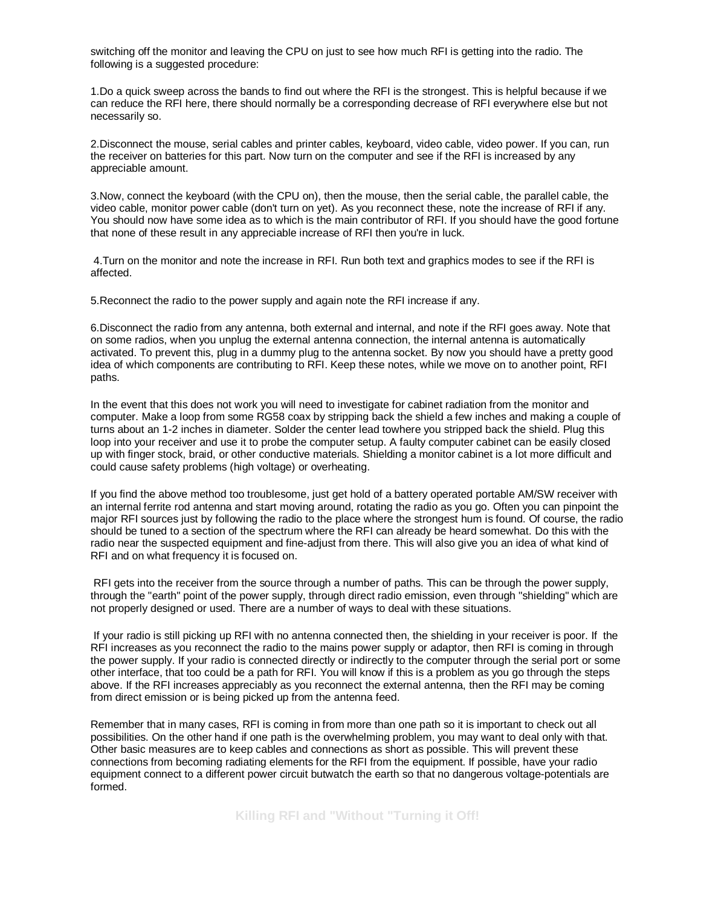switching off the monitor and leaving the CPU on just to see how much RFI is getting into the radio. The following is a suggested procedure:

1.Do a quick sweep across the bands to find out where the RFI is the strongest. This is helpful because if we can reduce the RFI here, there should normally be a corresponding decrease of RFI everywhere else but not necessarily so.

2.Disconnect the mouse, serial cables and printer cables, keyboard, video cable, video power. If you can, run the receiver on batteries for this part. Now turn on the computer and see if the RFI is increased by any appreciable amount.

3.Now, connect the keyboard (with the CPU on), then the mouse, then the serial cable, the parallel cable, the video cable, monitor power cable (don't turn on yet). As you reconnect these, note the increase of RFI if any. You should now have some idea as to which is the main contributor of RFI. If you should have the good fortune that none of these result in any appreciable increase of RFI then you're in luck.

 4.Turn on the monitor and note the increase in RFI. Run both text and graphics modes to see if the RFI is affected.

5.Reconnect the radio to the power supply and again note the RFI increase if any.

6.Disconnect the radio from any antenna, both external and internal, and note if the RFI goes away. Note that on some radios, when you unplug the external antenna connection, the internal antenna is automatically activated. To prevent this, plug in a dummy plug to the antenna socket. By now you should have a pretty good idea of which components are contributing to RFI. Keep these notes, while we move on to another point, RFI paths.

In the event that this does not work you will need to investigate for cabinet radiation from the monitor and computer. Make a loop from some RG58 coax by stripping back the shield a few inches and making a couple of turns about an 1-2 inches in diameter. Solder the center lead towhere you stripped back the shield. Plug this loop into your receiver and use it to probe the computer setup. A faulty computer cabinet can be easily closed up with finger stock, braid, or other conductive materials. Shielding a monitor cabinet is a lot more difficult and could cause safety problems (high voltage) or overheating.

If you find the above method too troublesome, just get hold of a battery operated portable AM/SW receiver with an internal ferrite rod antenna and start moving around, rotating the radio as you go. Often you can pinpoint the major RFI sources just by following the radio to the place where the strongest hum is found. Of course, the radio should be tuned to a section of the spectrum where the RFI can already be heard somewhat. Do this with the radio near the suspected equipment and fine-adjust from there. This will also give you an idea of what kind of RFI and on what frequency it is focused on.

 RFI gets into the receiver from the source through a number of paths. This can be through the power supply, through the "earth" point of the power supply, through direct radio emission, even through "shielding" which are not properly designed or used. There are a number of ways to deal with these situations.

 If your radio is still picking up RFI with no antenna connected then, the shielding in your receiver is poor. If the RFI increases as you reconnect the radio to the mains power supply or adaptor, then RFI is coming in through the power supply. If your radio is connected directly or indirectly to the computer through the serial port or some other interface, that too could be a path for RFI. You will know if this is a problem as you go through the steps above. If the RFI increases appreciably as you reconnect the external antenna, then the RFI may be coming from direct emission or is being picked up from the antenna feed.

Remember that in many cases, RFI is coming in from more than one path so it is important to check out all possibilities. On the other hand if one path is the overwhelming problem, you may want to deal only with that. Other basic measures are to keep cables and connections as short as possible. This will prevent these connections from becoming radiating elements for the RFI from the equipment. If possible, have your radio equipment connect to a different power circuit butwatch the earth so that no dangerous voltage-potentials are formed.

**Killing RFI and "Without "Turning it Off!**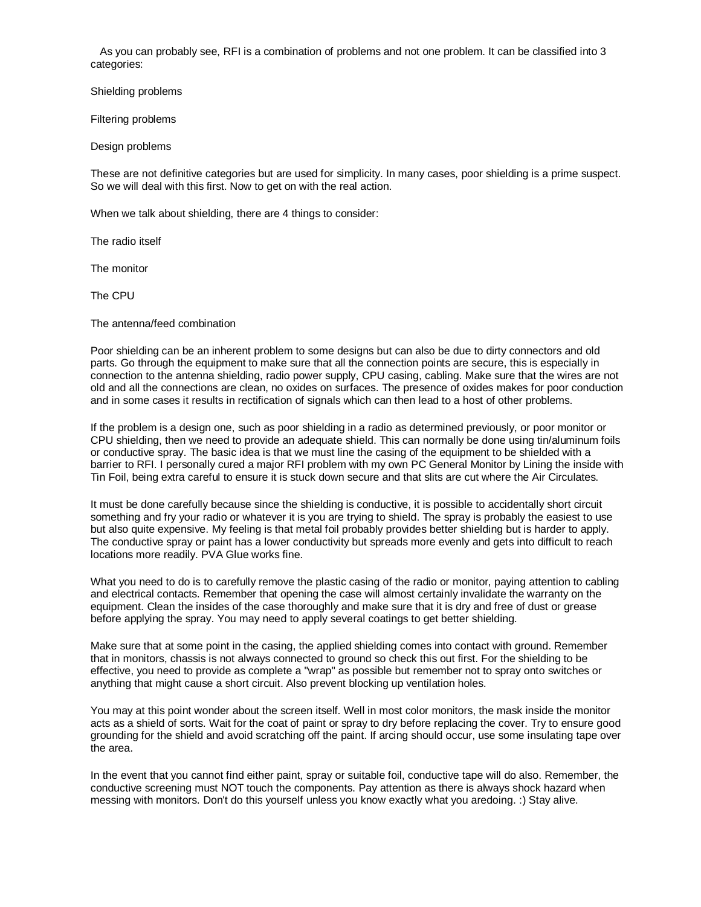As you can probably see, RFI is a combination of problems and not one problem. It can be classified into 3 categories:

Shielding problems

Filtering problems

Design problems

These are not definitive categories but are used for simplicity. In many cases, poor shielding is a prime suspect. So we will deal with this first. Now to get on with the real action.

When we talk about shielding, there are 4 things to consider:

The radio itself

The monitor

The CPU

The antenna/feed combination

Poor shielding can be an inherent problem to some designs but can also be due to dirty connectors and old parts. Go through the equipment to make sure that all the connection points are secure, this is especially in connection to the antenna shielding, radio power supply, CPU casing, cabling. Make sure that the wires are not old and all the connections are clean, no oxides on surfaces. The presence of oxides makes for poor conduction and in some cases it results in rectification of signals which can then lead to a host of other problems.

If the problem is a design one, such as poor shielding in a radio as determined previously, or poor monitor or CPU shielding, then we need to provide an adequate shield. This can normally be done using tin/aluminum foils or conductive spray. The basic idea is that we must line the casing of the equipment to be shielded with a barrier to RFI. I personally cured a major RFI problem with my own PC General Monitor by Lining the inside with Tin Foil, being extra careful to ensure it is stuck down secure and that slits are cut where the Air Circulates.

It must be done carefully because since the shielding is conductive, it is possible to accidentally short circuit something and fry your radio or whatever it is you are trying to shield. The spray is probably the easiest to use but also quite expensive. My feeling is that metal foil probably provides better shielding but is harder to apply. The conductive spray or paint has a lower conductivity but spreads more evenly and gets into difficult to reach locations more readily. PVA Glue works fine.

What you need to do is to carefully remove the plastic casing of the radio or monitor, paying attention to cabling and electrical contacts. Remember that opening the case will almost certainly invalidate the warranty on the equipment. Clean the insides of the case thoroughly and make sure that it is dry and free of dust or grease before applying the spray. You may need to apply several coatings to get better shielding.

Make sure that at some point in the casing, the applied shielding comes into contact with ground. Remember that in monitors, chassis is not always connected to ground so check this out first. For the shielding to be effective, you need to provide as complete a "wrap" as possible but remember not to spray onto switches or anything that might cause a short circuit. Also prevent blocking up ventilation holes.

You may at this point wonder about the screen itself. Well in most color monitors, the mask inside the monitor acts as a shield of sorts. Wait for the coat of paint or spray to dry before replacing the cover. Try to ensure good grounding for the shield and avoid scratching off the paint. If arcing should occur, use some insulating tape over the area.

In the event that you cannot find either paint, spray or suitable foil, conductive tape will do also. Remember, the conductive screening must NOT touch the components. Pay attention as there is always shock hazard when messing with monitors. Don't do this yourself unless you know exactly what you aredoing. :) Stay alive.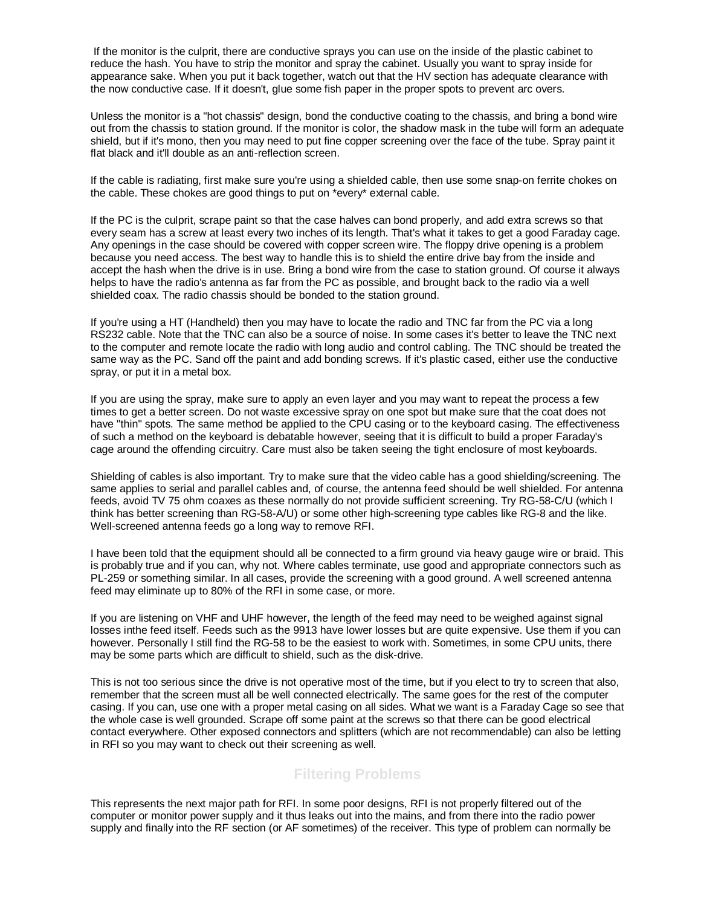If the monitor is the culprit, there are conductive sprays you can use on the inside of the plastic cabinet to reduce the hash. You have to strip the monitor and spray the cabinet. Usually you want to spray inside for appearance sake. When you put it back together, watch out that the HV section has adequate clearance with the now conductive case. If it doesn't, glue some fish paper in the proper spots to prevent arc overs.

Unless the monitor is a "hot chassis" design, bond the conductive coating to the chassis, and bring a bond wire out from the chassis to station ground. If the monitor is color, the shadow mask in the tube will form an adequate shield, but if it's mono, then you may need to put fine copper screening over the face of the tube. Spray paint it flat black and it'll double as an anti-reflection screen.

If the cable is radiating, first make sure you're using a shielded cable, then use some snap-on ferrite chokes on the cable. These chokes are good things to put on \*every\* external cable.

If the PC is the culprit, scrape paint so that the case halves can bond properly, and add extra screws so that every seam has a screw at least every two inches of its length. That's what it takes to get a good Faraday cage. Any openings in the case should be covered with copper screen wire. The floppy drive opening is a problem because you need access. The best way to handle this is to shield the entire drive bay from the inside and accept the hash when the drive is in use. Bring a bond wire from the case to station ground. Of course it always helps to have the radio's antenna as far from the PC as possible, and brought back to the radio via a well shielded coax. The radio chassis should be bonded to the station ground.

If you're using a HT (Handheld) then you may have to locate the radio and TNC far from the PC via a long RS232 cable. Note that the TNC can also be a source of noise. In some cases it's better to leave the TNC next to the computer and remote locate the radio with long audio and control cabling. The TNC should be treated the same way as the PC. Sand off the paint and add bonding screws. If it's plastic cased, either use the conductive spray, or put it in a metal box.

If you are using the spray, make sure to apply an even layer and you may want to repeat the process a few times to get a better screen. Do not waste excessive spray on one spot but make sure that the coat does not have "thin" spots. The same method be applied to the CPU casing or to the keyboard casing. The effectiveness of such a method on the keyboard is debatable however, seeing that it is difficult to build a proper Faraday's cage around the offending circuitry. Care must also be taken seeing the tight enclosure of most keyboards.

Shielding of cables is also important. Try to make sure that the video cable has a good shielding/screening. The same applies to serial and parallel cables and, of course, the antenna feed should be well shielded. For antenna feeds, avoid TV 75 ohm coaxes as these normally do not provide sufficient screening. Try RG-58-C/U (which I think has better screening than RG-58-A/U) or some other high-screening type cables like RG-8 and the like. Well-screened antenna feeds go a long way to remove RFI.

I have been told that the equipment should all be connected to a firm ground via heavy gauge wire or braid. This is probably true and if you can, why not. Where cables terminate, use good and appropriate connectors such as PL-259 or something similar. In all cases, provide the screening with a good ground. A well screened antenna feed may eliminate up to 80% of the RFI in some case, or more.

If you are listening on VHF and UHF however, the length of the feed may need to be weighed against signal losses inthe feed itself. Feeds such as the 9913 have lower losses but are quite expensive. Use them if you can however. Personally I still find the RG-58 to be the easiest to work with. Sometimes, in some CPU units, there may be some parts which are difficult to shield, such as the disk-drive.

This is not too serious since the drive is not operative most of the time, but if you elect to try to screen that also, remember that the screen must all be well connected electrically. The same goes for the rest of the computer casing. If you can, use one with a proper metal casing on all sides. What we want is a Faraday Cage so see that the whole case is well grounded. Scrape off some paint at the screws so that there can be good electrical contact everywhere. Other exposed connectors and splitters (which are not recommendable) can also be letting in RFI so you may want to check out their screening as well.

## **Filtering Problems**

This represents the next major path for RFI. In some poor designs, RFI is not properly filtered out of the computer or monitor power supply and it thus leaks out into the mains, and from there into the radio power supply and finally into the RF section (or AF sometimes) of the receiver. This type of problem can normally be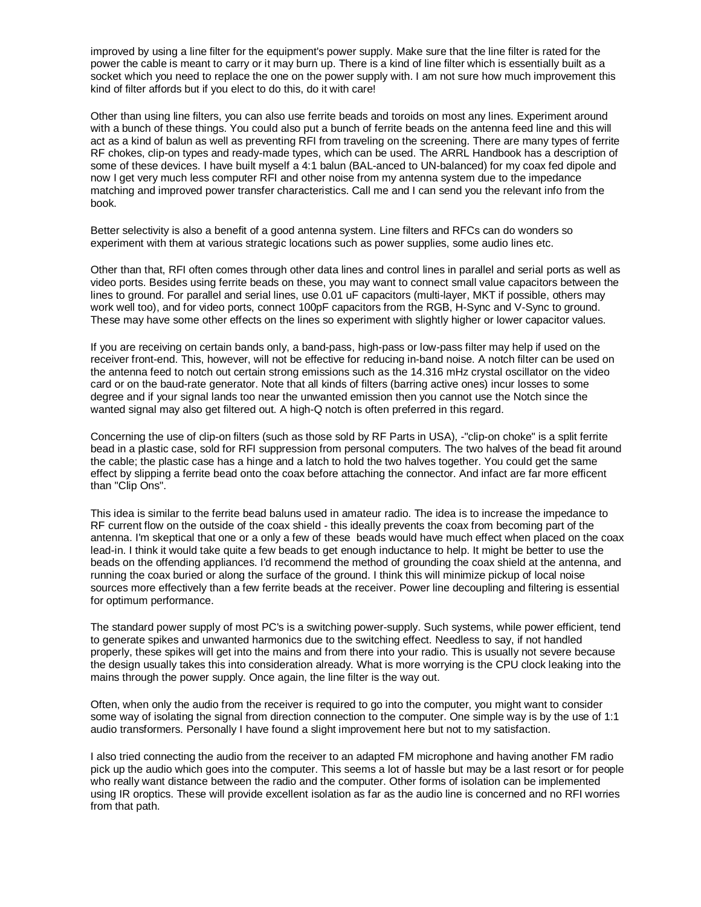improved by using a line filter for the equipment's power supply. Make sure that the line filter is rated for the power the cable is meant to carry or it may burn up. There is a kind of line filter which is essentially built as a socket which you need to replace the one on the power supply with. I am not sure how much improvement this kind of filter affords but if you elect to do this, do it with care!

Other than using line filters, you can also use ferrite beads and toroids on most any lines. Experiment around with a bunch of these things. You could also put a bunch of ferrite beads on the antenna feed line and this will act as a kind of balun as well as preventing RFI from traveling on the screening. There are many types of ferrite RF chokes, clip-on types and ready-made types, which can be used. The ARRL Handbook has a description of some of these devices. I have built myself a 4:1 balun (BAL-anced to UN-balanced) for my coax fed dipole and now I get very much less computer RFI and other noise from my antenna system due to the impedance matching and improved power transfer characteristics. Call me and I can send you the relevant info from the book.

Better selectivity is also a benefit of a good antenna system. Line filters and RFCs can do wonders so experiment with them at various strategic locations such as power supplies, some audio lines etc.

Other than that, RFI often comes through other data lines and control lines in parallel and serial ports as well as video ports. Besides using ferrite beads on these, you may want to connect small value capacitors between the lines to ground. For parallel and serial lines, use 0.01 uF capacitors (multi-layer, MKT if possible, others may work well too), and for video ports, connect 100pF capacitors from the RGB, H-Sync and V-Sync to ground. These may have some other effects on the lines so experiment with slightly higher or lower capacitor values.

If you are receiving on certain bands only, a band-pass, high-pass or low-pass filter may help if used on the receiver front-end. This, however, will not be effective for reducing in-band noise. A notch filter can be used on the antenna feed to notch out certain strong emissions such as the 14.316 mHz crystal oscillator on the video card or on the baud-rate generator. Note that all kinds of filters (barring active ones) incur losses to some degree and if your signal lands too near the unwanted emission then you cannot use the Notch since the wanted signal may also get filtered out. A high-Q notch is often preferred in this regard.

Concerning the use of clip-on filters (such as those sold by RF Parts in USA), -"clip-on choke" is a split ferrite bead in a plastic case, sold for RFI suppression from personal computers. The two halves of the bead fit around the cable; the plastic case has a hinge and a latch to hold the two halves together. You could get the same effect by slipping a ferrite bead onto the coax before attaching the connector. And infact are far more efficent than "Clip Ons".

This idea is similar to the ferrite bead baluns used in amateur radio. The idea is to increase the impedance to RF current flow on the outside of the coax shield - this ideally prevents the coax from becoming part of the antenna. I'm skeptical that one or a only a few of these beads would have much effect when placed on the coax lead-in. I think it would take quite a few beads to get enough inductance to help. It might be better to use the beads on the offending appliances. I'd recommend the method of grounding the coax shield at the antenna, and running the coax buried or along the surface of the ground. I think this will minimize pickup of local noise sources more effectively than a few ferrite beads at the receiver. Power line decoupling and filtering is essential for optimum performance.

The standard power supply of most PC's is a switching power-supply. Such systems, while power efficient, tend to generate spikes and unwanted harmonics due to the switching effect. Needless to say, if not handled properly, these spikes will get into the mains and from there into your radio. This is usually not severe because the design usually takes this into consideration already. What is more worrying is the CPU clock leaking into the mains through the power supply. Once again, the line filter is the way out.

Often, when only the audio from the receiver is required to go into the computer, you might want to consider some way of isolating the signal from direction connection to the computer. One simple way is by the use of 1:1 audio transformers. Personally I have found a slight improvement here but not to my satisfaction.

I also tried connecting the audio from the receiver to an adapted FM microphone and having another FM radio pick up the audio which goes into the computer. This seems a lot of hassle but may be a last resort or for people who really want distance between the radio and the computer. Other forms of isolation can be implemented using IR oroptics. These will provide excellent isolation as far as the audio line is concerned and no RFI worries from that path.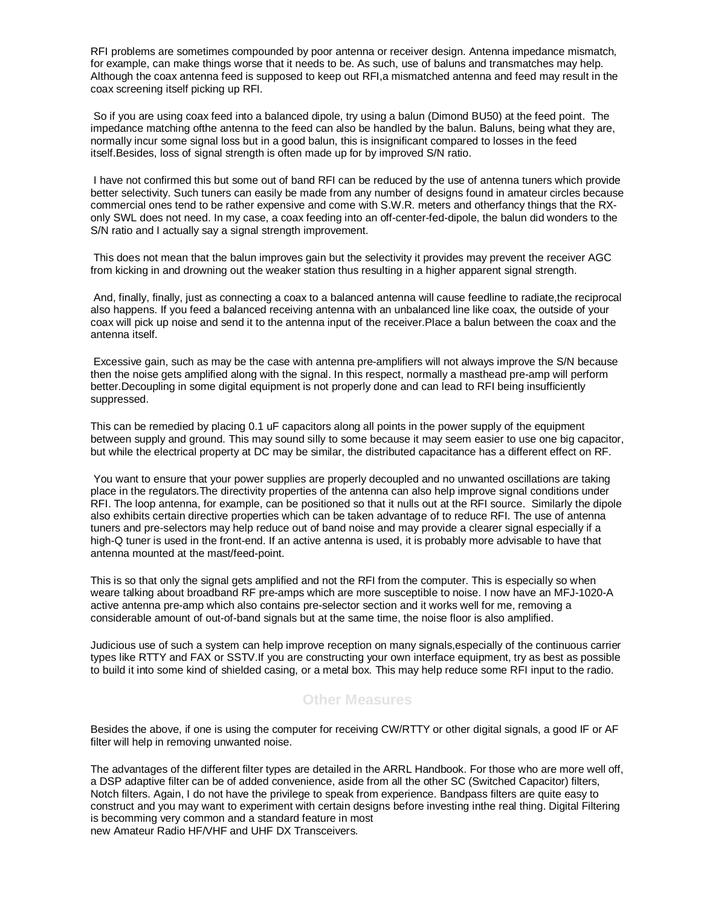RFI problems are sometimes compounded by poor antenna or receiver design. Antenna impedance mismatch, for example, can make things worse that it needs to be. As such, use of baluns and transmatches may help. Although the coax antenna feed is supposed to keep out RFI,a mismatched antenna and feed may result in the coax screening itself picking up RFI.

 So if you are using coax feed into a balanced dipole, try using a balun (Dimond BU50) at the feed point. The impedance matching ofthe antenna to the feed can also be handled by the balun. Baluns, being what they are, normally incur some signal loss but in a good balun, this is insignificant compared to losses in the feed itself.Besides, loss of signal strength is often made up for by improved S/N ratio.

 I have not confirmed this but some out of band RFI can be reduced by the use of antenna tuners which provide better selectivity. Such tuners can easily be made from any number of designs found in amateur circles because commercial ones tend to be rather expensive and come with S.W.R. meters and otherfancy things that the RXonly SWL does not need. In my case, a coax feeding into an off-center-fed-dipole, the balun did wonders to the S/N ratio and I actually say a signal strength improvement.

 This does not mean that the balun improves gain but the selectivity it provides may prevent the receiver AGC from kicking in and drowning out the weaker station thus resulting in a higher apparent signal strength.

 And, finally, finally, just as connecting a coax to a balanced antenna will cause feedline to radiate,the reciprocal also happens. If you feed a balanced receiving antenna with an unbalanced line like coax, the outside of your coax will pick up noise and send it to the antenna input of the receiver.Place a balun between the coax and the antenna itself.

 Excessive gain, such as may be the case with antenna pre-amplifiers will not always improve the S/N because then the noise gets amplified along with the signal. In this respect, normally a masthead pre-amp will perform better.Decoupling in some digital equipment is not properly done and can lead to RFI being insufficiently suppressed.

This can be remedied by placing 0.1 uF capacitors along all points in the power supply of the equipment between supply and ground. This may sound silly to some because it may seem easier to use one big capacitor, but while the electrical property at DC may be similar, the distributed capacitance has a different effect on RF.

 You want to ensure that your power supplies are properly decoupled and no unwanted oscillations are taking place in the regulators.The directivity properties of the antenna can also help improve signal conditions under RFI. The loop antenna, for example, can be positioned so that it nulls out at the RFI source. Similarly the dipole also exhibits certain directive properties which can be taken advantage of to reduce RFI. The use of antenna tuners and pre-selectors may help reduce out of band noise and may provide a clearer signal especially if a high-Q tuner is used in the front-end. If an active antenna is used, it is probably more advisable to have that antenna mounted at the mast/feed-point.

This is so that only the signal gets amplified and not the RFI from the computer. This is especially so when weare talking about broadband RF pre-amps which are more susceptible to noise. I now have an MFJ-1020-A active antenna pre-amp which also contains pre-selector section and it works well for me, removing a considerable amount of out-of-band signals but at the same time, the noise floor is also amplified.

Judicious use of such a system can help improve reception on many signals,especially of the continuous carrier types like RTTY and FAX or SSTV.If you are constructing your own interface equipment, try as best as possible to build it into some kind of shielded casing, or a metal box. This may help reduce some RFI input to the radio.

## **Other Measures**

Besides the above, if one is using the computer for receiving CW/RTTY or other digital signals, a good IF or AF filter will help in removing unwanted noise.

The advantages of the different filter types are detailed in the ARRL Handbook. For those who are more well off, a DSP adaptive filter can be of added convenience, aside from all the other SC (Switched Capacitor) filters, Notch filters. Again, I do not have the privilege to speak from experience. Bandpass filters are quite easy to construct and you may want to experiment with certain designs before investing inthe real thing. Digital Filtering is becomming very common and a standard feature in most new Amateur Radio HF/VHF and UHF DX Transceivers.